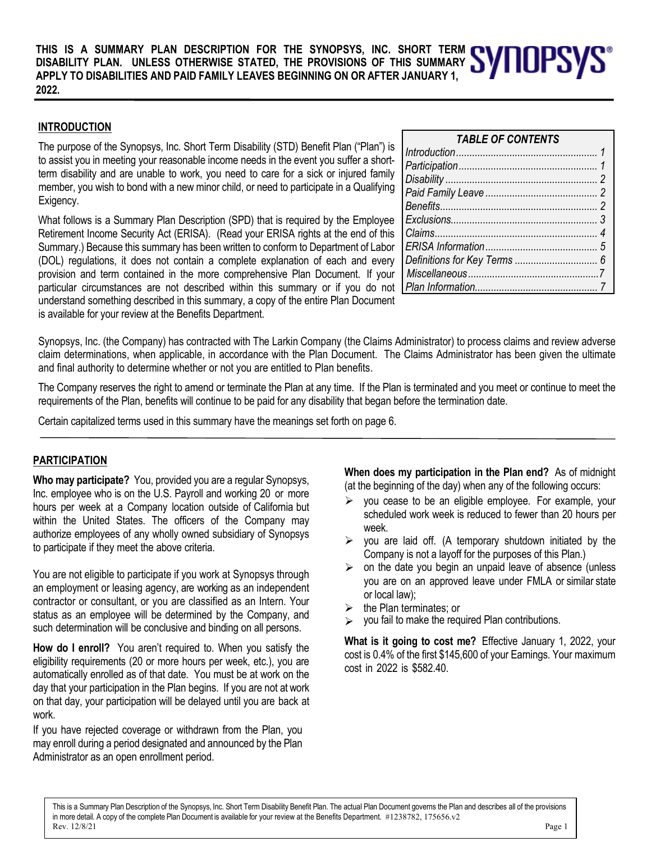**THIS IS A SUMMARY PLAN DESCRIPTION FOR THE SYNOPSYS, INC. SHORT TERM DISABILITY PLAN. UNLESS OTHERWISE STATED, THE PROVISIONS OF THIS SUMMARY APPLY TO DISABILITIES AND PAID FAMILY LEAVES BEGINNING ON OR AFTER JANUARY 1, 2022.**

# **INTRODUCTION**

The purpose of the Synopsys, Inc. Short Term Disability (STD) Benefit Plan ("Plan") is to assist you in meeting your reasonable income needs in the event you suffer a shortterm disability and are unable to work, you need to care for a sick or injured family member, you wish to bond with a new minor child, or need to participate in a Qualifying Exigency.

What follows is a Summary Plan Description (SPD) that is required by the Employee Retirement Income Security Act (ERISA). (Read your ERISA rights at the end of this Summary.) Because this summary has been written to conform to Department of Labor (DOL) regulations, it does not contain a complete explanation of each and every provision and term contained in the more comprehensive Plan Document. If your particular circumstances are not described within this summary or if you do not understand something described in this summary, a copy of the entire Plan Document is available for your review at the Benefits Department.

#### *Participation.................................................... 1 Disability ......................................................... 2 Paid Family Leave .......................................... 2 Benefits........................................................... 2 Exclusions....................................................... 3 Claims............................................................. 4 ERISA Information.......................................... 5 Definitions for Key Terms ............................... 6*

*Miscellaneous.................................................7 Plan Information.............................................. 7*

*TABLE OF CONTENTS Introduction..................................................... 1*

Synopsys, Inc. (the Company) has contracted with The Larkin Company (the Claims Administrator) to process claims and review adverse claim determinations, when applicable, in accordance with the Plan Document. The Claims Administrator has been given the ultimate and final authority to determine whether or not you are entitled to Plan benefits.

The Company reserves the right to amend or terminate the Plan at any time. If the Plan is terminated and you meet or continue to meet the requirements of the Plan, benefits will continue to be paid for any disability that began before the termination date.

Certain capitalized terms used in this summary have the meanings set forth on page 6.

# **PARTICIPATION**

**Who may participate?** You, provided you are a regular Synopsys, Inc. employee who is on the U.S. Payroll and working 20 or more hours per week at a Company location outside of California but within the United States. The officers of the Company may authorize employees of any wholly owned subsidiary of Synopsys to participate if they meet the above criteria.

You are not eligible to participate if you work at Synopsys through an employment or leasing agency, are working as an independent contractor or consultant, or you are classified as an Intern. Your status as an employee will be determined by the Company, and such determination will be conclusive and binding on all persons.

**How do I enroll?** You aren't required to. When you satisfy the eligibility requirements (20 or more hours per week, etc.), you are automatically enrolled as of that date. You must be at work on the day that your participation in the Plan begins. If you are not at work on that day, your participation will be delayed until you are back at work.

If you have rejected coverage or withdrawn from the Plan, you may enroll during a period designated and announced by the Plan Administrator as an open enrollment period.

**When does my participation in the Plan end?** As of midnight (at the beginning of the day) when any of the following occurs:

- $\triangleright$  you cease to be an eligible employee. For example, your scheduled work week is reduced to fewer than 20 hours per week.
- $\triangleright$  you are laid off. (A temporary shutdown initiated by the Company is not a layoff for the purposes of this Plan.)
- $\triangleright$  on the date you begin an unpaid leave of absence (unless you are on an approved leave under FMLA or similar state or local law);
- the Plan terminates; or
- $\triangleright$  you fail to make the required Plan contributions.

**What is it going to cost me?** Effective January 1, 2022, your cost is 0.4% of the first \$145,600 of your Earnings. Your maximum cost in 2022 is \$582.40.

This is a Summary Plan Description of the Synopsys, Inc. Short Term Disability Benefit Plan. The actual Plan Document governs the Plan and describes all of the provisions in more detail. A copy of the complete Plan Document is available for your review at the Benefits Department. #1238782, 175656.v2<br>Rev. 12/8/21 Rev. 12/8/21 Page 1

l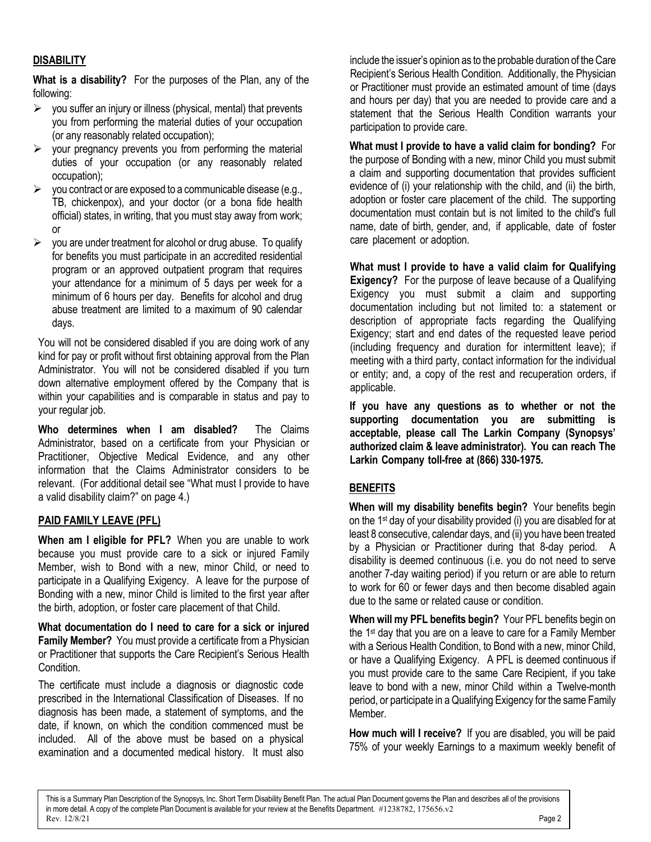# **DISABILITY**

**What is a disability?** For the purposes of the Plan, any of the following:

- $\triangleright$  you suffer an injury or illness (physical, mental) that prevents you from performing the material duties of your occupation (or any reasonably related occupation);
- $\triangleright$  your pregnancy prevents you from performing the material duties of your occupation (or any reasonably related occupation);
- $\triangleright$  you contract or are exposed to a communicable disease (e.g., TB, chickenpox), and your doctor (or a bona fide health official) states, in writing, that you must stay away from work; or
- $\triangleright$  you are under treatment for alcohol or drug abuse. To qualify for benefits you must participate in an accredited residential program or an approved outpatient program that requires your attendance for a minimum of 5 days per week for a minimum of 6 hours per day. Benefits for alcohol and drug abuse treatment are limited to a maximum of 90 calendar days.

You will not be considered disabled if you are doing work of any kind for pay or profit without first obtaining approval from the Plan Administrator. You will not be considered disabled if you turn down alternative employment offered by the Company that is within your capabilities and is comparable in status and pay to your regular job.

**Who determines when I am disabled?** The Claims Administrator, based on a certificate from your Physician or Practitioner, Objective Medical Evidence, and any other information that the Claims Administrator considers to be relevant. (For additional detail see "What must I provide to have a valid disability claim?" on page 4.)

# **PAID FAMILY LEAVE (PFL)**

**When am I eligible for PFL?** When you are unable to work because you must provide care to a sick or injured Family Member, wish to Bond with a new, minor Child, or need to participate in a Qualifying Exigency. A leave for the purpose of Bonding with a new, minor Child is limited to the first year after the birth, adoption, or foster care placement of that Child.

**What documentation do I need to care for a sick or injured Family Member?** You must provide a certificate from a Physician or Practitioner that supports the Care Recipient's Serious Health Condition.

The certificate must include a diagnosis or diagnostic code prescribed in the International Classification of Diseases. If no diagnosis has been made, a statement of symptoms, and the date, if known, on which the condition commenced must be included. All of the above must be based on a physical examination and a documented medical history. It must also include the issuer's opinion as to the probable duration of the Care Recipient's Serious Health Condition. Additionally, the Physician or Practitioner must provide an estimated amount of time (days and hours per day) that you are needed to provide care and a statement that the Serious Health Condition warrants your participation to provide care.

**What must I provide to have a valid claim for bonding?** For the purpose of Bonding with a new, minor Child you must submit a claim and supporting documentation that provides sufficient evidence of (i) your relationship with the child, and (ii) the birth, adoption or foster care placement of the child. The supporting documentation must contain but is not limited to the child's full name, date of birth, gender, and, if applicable, date of foster care placement or adoption.

**What must I provide to have a valid claim for Qualifying Exigency?** For the purpose of leave because of a Qualifying Exigency you must submit a claim and supporting documentation including but not limited to: a statement or description of appropriate facts regarding the Qualifying Exigency; start and end dates of the requested leave period (including frequency and duration for intermittent leave); if meeting with a third party, contact information for the individual or entity; and, a copy of the rest and recuperation orders, if applicable.

**If you have any questions as to whether or not the supporting documentation you are submitting is acceptable, please call The Larkin Company (Synopsys' authorized claim & leave administrator). You can reach The Larkin Company toll-free at (866) 330-1975.**

# **BENEFITS**

**When will my disability benefits begin?** Your benefits begin on the 1st day of your disability provided (i) you are disabled for at least 8 consecutive, calendar days, and (ii) you have been treated by a Physician or Practitioner during that 8-day period. A disability is deemed continuous (i.e. you do not need to serve another 7-day waiting period) if you return or are able to return to work for 60 or fewer days and then become disabled again due to the same or related cause or condition.

**When will my PFL benefits begin?** Your PFL benefits begin on the 1<sup>st</sup> day that you are on a leave to care for a Family Member with a Serious Health Condition, to Bond with a new, minor Child, or have a Qualifying Exigency. A PFL is deemed continuous if you must provide care to the same Care Recipient, if you take leave to bond with a new, minor Child within a Twelve-month period, or participate in a Qualifying Exigency for the same Family Member.

**How much will I receive?** If you are disabled, you will be paid 75% of your weekly Earnings to a maximum weekly benefit of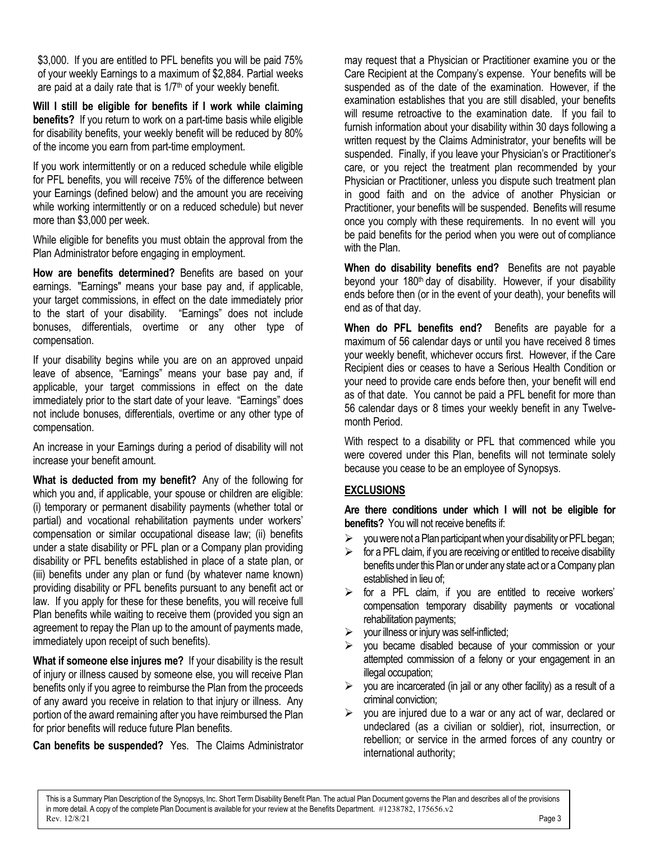\$3,000. If you are entitled to PFL benefits you will be paid 75% of your weekly Earnings to a maximum of \$2,884. Partial weeks are paid at a daily rate that is  $1/7<sup>th</sup>$  of your weekly benefit.

**Will I still be eligible for benefits if I work while claiming benefits?** If you return to work on a part-time basis while eligible for disability benefits, your weekly benefit will be reduced by 80% of the income you earn from part-time employment.

If you work intermittently or on a reduced schedule while eligible for PFL benefits, you will receive 75% of the difference between your Earnings (defined below) and the amount you are receiving while working intermittently or on a reduced schedule) but never more than \$3,000 per week.

While eligible for benefits you must obtain the approval from the Plan Administrator before engaging in employment.

**How are benefits determined?** Benefits are based on your earnings. "Earnings" means your base pay and, if applicable, your target commissions, in effect on the date immediately prior to the start of your disability. "Earnings" does not include bonuses, differentials, overtime or any other type of compensation.

If your disability begins while you are on an approved unpaid leave of absence, "Earnings" means your base pay and, if applicable, your target commissions in effect on the date immediately prior to the start date of your leave. "Earnings" does not include bonuses, differentials, overtime or any other type of compensation.

An increase in your Earnings during a period of disability will not increase your benefit amount.

**What is deducted from my benefit?** Any of the following for which you and, if applicable, your spouse or children are eligible: (i) temporary or permanent disability payments (whether total or partial) and vocational rehabilitation payments under workers' compensation or similar occupational disease law; (ii) benefits under a state disability or PFL plan or a Company plan providing disability or PFL benefits established in place of a state plan, or (iii) benefits under any plan or fund (by whatever name known) providing disability or PFL benefits pursuant to any benefit act or law. If you apply for these for these benefits, you will receive full Plan benefits while waiting to receive them (provided you sign an agreement to repay the Plan up to the amount of payments made, immediately upon receipt of such benefits).

**What if someone else injures me?** If your disability is the result of injury or illness caused by someone else, you will receive Plan benefits only if you agree to reimburse the Plan from the proceeds of any award you receive in relation to that injury or illness. Any portion of the award remaining after you have reimbursed the Plan for prior benefits will reduce future Plan benefits.

**Can benefits be suspended?** Yes. The Claims Administrator

may request that a Physician or Practitioner examine you or the Care Recipient at the Company's expense. Your benefits will be suspended as of the date of the examination. However, if the examination establishes that you are still disabled, your benefits will resume retroactive to the examination date. If you fail to furnish information about your disability within 30 days following a written request by the Claims Administrator, your benefits will be suspended. Finally, if you leave your Physician's or Practitioner's care, or you reject the treatment plan recommended by your Physician or Practitioner, unless you dispute such treatment plan in good faith and on the advice of another Physician or Practitioner, your benefits will be suspended. Benefits will resume once you comply with these requirements. In no event will you be paid benefits for the period when you were out of compliance with the Plan.

**When do disability benefits end?** Benefits are not payable beyond your 180<sup>th</sup> day of disability. However, if your disability ends before then (or in the event of your death), your benefits will end as of that day.

**When do PFL benefits end?** Benefits are payable for a maximum of 56 calendar days or until you have received 8 times your weekly benefit, whichever occurs first. However, if the Care Recipient dies or ceases to have a Serious Health Condition or your need to provide care ends before then, your benefit will end as of that date. You cannot be paid a PFL benefit for more than 56 calendar days or 8 times your weekly benefit in any Twelvemonth Period.

With respect to a disability or PFL that commenced while you were covered under this Plan, benefits will not terminate solely because you cease to be an employee of Synopsys.

# **EXCLUSIONS**

**Are there conditions under which I will not be eligible for benefits?** You will not receive benefits if:

- you were not a Plan participant when your disability or PFL began;
- for a PFL claim, if you are receiving or entitled to receive disability benefits under this Plan or under any state act or a Company plan established in lieu of;
- $\triangleright$  for a PFL claim, if you are entitled to receive workers' compensation temporary disability payments or vocational rehabilitation payments;
- $\triangleright$  vour illness or injury was self-inflicted;
- $\triangleright$  you became disabled because of your commission or your attempted commission of a felony or your engagement in an illegal occupation;
- $\triangleright$  you are incarcerated (in jail or any other facility) as a result of a criminal conviction;
- $\triangleright$  you are injured due to a war or any act of war, declared or undeclared (as a civilian or soldier), riot, insurrection, or rebellion; or service in the armed forces of any country or international authority;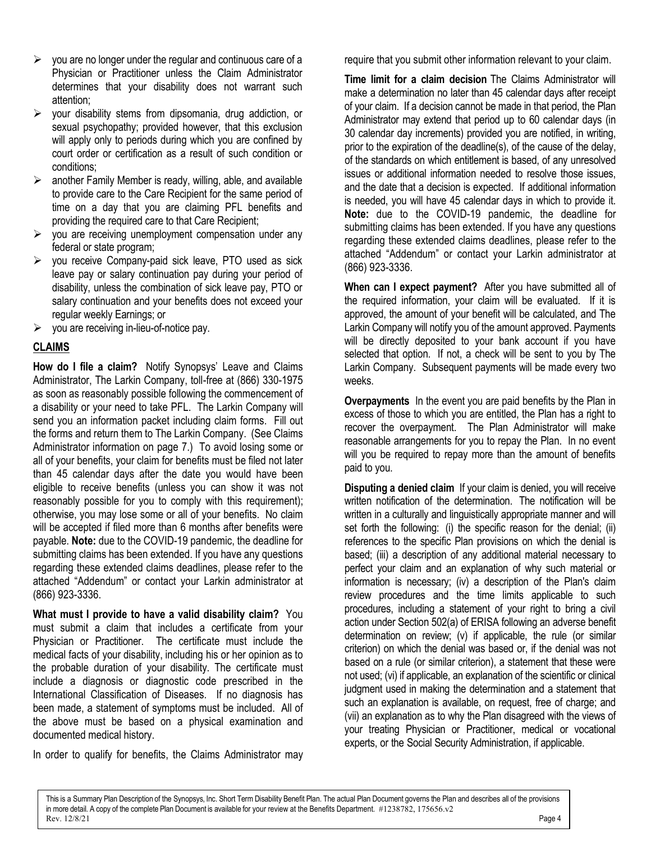- $\triangleright$  you are no longer under the regular and continuous care of a Physician or Practitioner unless the Claim Administrator determines that your disability does not warrant such attention;
- $\triangleright$  your disability stems from dipsomania, drug addiction, or sexual psychopathy; provided however, that this exclusion will apply only to periods during which you are confined by court order or certification as a result of such condition or conditions;
- $\triangleright$  another Family Member is ready, willing, able, and available to provide care to the Care Recipient for the same period of time on a day that you are claiming PFL benefits and providing the required care to that Care Recipient;
- $\triangleright$  you are receiving unemployment compensation under any federal or state program;
- $\triangleright$  you receive Company-paid sick leave, PTO used as sick leave pay or salary continuation pay during your period of disability, unless the combination of sick leave pay, PTO or salary continuation and your benefits does not exceed your regular weekly Earnings; or
- $\triangleright$  you are receiving in-lieu-of-notice pay.

# **CLAIMS**

**How do I file a claim?** Notify Synopsys' Leave and Claims Administrator, The Larkin Company, toll-free at (866) 330-1975 as soon as reasonably possible following the commencement of a disability or your need to take PFL. The Larkin Company will send you an information packet including claim forms. Fill out the forms and return them to The Larkin Company. (See Claims Administrator information on page 7.) To avoid losing some or all of your benefits, your claim for benefits must be filed not later than 45 calendar days after the date you would have been eligible to receive benefits (unless you can show it was not reasonably possible for you to comply with this requirement); otherwise, you may lose some or all of your benefits. No claim will be accepted if filed more than 6 months after benefits were payable. **Note:** due to the COVID-19 pandemic, the deadline for submitting claims has been extended. If you have any questions regarding these extended claims deadlines, please refer to the attached "Addendum" or contact your Larkin administrator at (866) 923-3336.

**What must I provide to have a valid disability claim?** You must submit a claim that includes a certificate from your Physician or Practitioner. The certificate must include the medical facts of your disability, including his or her opinion as to the probable duration of your disability. The certificate must include a diagnosis or diagnostic code prescribed in the International Classification of Diseases. If no diagnosis has been made, a statement of symptoms must be included. All of the above must be based on a physical examination and documented medical history.

In order to qualify for benefits, the Claims Administrator may

require that you submit other information relevant to your claim.

**Time limit for a claim decision** The Claims Administrator will make a determination no later than 45 calendar days after receipt of your claim. If a decision cannot be made in that period, the Plan Administrator may extend that period up to 60 calendar days (in 30 calendar day increments) provided you are notified, in writing, prior to the expiration of the deadline(s), of the cause of the delay, of the standards on which entitlement is based, of any unresolved issues or additional information needed to resolve those issues, and the date that a decision is expected. If additional information is needed, you will have 45 calendar days in which to provide it. **Note:** due to the COVID-19 pandemic, the deadline for submitting claims has been extended. If you have any questions regarding these extended claims deadlines, please refer to the attached "Addendum" or contact your Larkin administrator at (866) 923-3336.

**When can I expect payment?** After you have submitted all of the required information, your claim will be evaluated. If it is approved, the amount of your benefit will be calculated, and The Larkin Company will notify you of the amount approved. Payments will be directly deposited to your bank account if you have selected that option. If not, a check will be sent to you by The Larkin Company. Subsequent payments will be made every two weeks.

**Overpayments** In the event you are paid benefits by the Plan in excess of those to which you are entitled, the Plan has a right to recover the overpayment. The Plan Administrator will make reasonable arrangements for you to repay the Plan. In no event will you be required to repay more than the amount of benefits paid to you.

**Disputing a denied claim** If your claim is denied, you will receive written notification of the determination. The notification will be written in a culturally and linguistically appropriate manner and will set forth the following: (i) the specific reason for the denial; (ii) references to the specific Plan provisions on which the denial is based; (iii) a description of any additional material necessary to perfect your claim and an explanation of why such material or information is necessary; (iv) a description of the Plan's claim review procedures and the time limits applicable to such procedures, including a statement of your right to bring a civil action under Section 502(a) of ERISA following an adverse benefit determination on review; (v) if applicable, the rule (or similar criterion) on which the denial was based or, if the denial was not based on a rule (or similar criterion), a statement that these were not used; (vi) if applicable, an explanation of the scientific or clinical judgment used in making the determination and a statement that such an explanation is available, on request, free of charge; and (vii) an explanation as to why the Plan disagreed with the views of your treating Physician or Practitioner, medical or vocational experts, or the Social Security Administration, if applicable.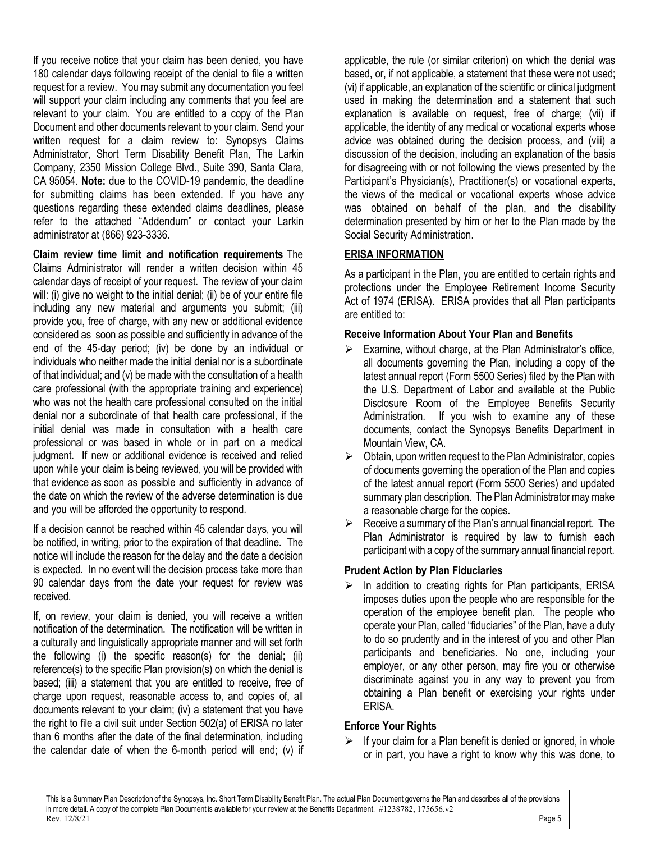If you receive notice that your claim has been denied, you have 180 calendar days following receipt of the denial to file a written request for a review. You may submit any documentation you feel will support your claim including any comments that you feel are relevant to your claim. You are entitled to a copy of the Plan Document and other documents relevant to your claim. Send your written request for a claim review to: Synopsys Claims Administrator, Short Term Disability Benefit Plan, The Larkin Company, 2350 Mission College Blvd., Suite 390, Santa Clara, CA 95054. **Note:** due to the COVID-19 pandemic, the deadline for submitting claims has been extended. If you have any questions regarding these extended claims deadlines, please refer to the attached "Addendum" or contact your Larkin administrator at (866) 923-3336.

**Claim review time limit and notification requirements** The Claims Administrator will render a written decision within 45 calendar days of receipt of your request. The review of your claim will: (i) give no weight to the initial denial; (ii) be of your entire file including any new material and arguments you submit; (iii) provide you, free of charge, with any new or additional evidence considered as soon as possible and sufficiently in advance of the end of the 45-day period; (iv) be done by an individual or individuals who neither made the initial denial nor is a subordinate of that individual; and (v) be made with the consultation of a health care professional (with the appropriate training and experience) who was not the health care professional consulted on the initial denial nor a subordinate of that health care professional, if the initial denial was made in consultation with a health care professional or was based in whole or in part on a medical judgment. If new or additional evidence is received and relied upon while your claim is being reviewed, you will be provided with that evidence as soon as possible and sufficiently in advance of the date on which the review of the adverse determination is due and you will be afforded the opportunity to respond.

If a decision cannot be reached within 45 calendar days, you will be notified, in writing, prior to the expiration of that deadline. The notice will include the reason for the delay and the date a decision is expected. In no event will the decision process take more than 90 calendar days from the date your request for review was received.

If, on review, your claim is denied, you will receive a written notification of the determination. The notification will be written in a culturally and linguistically appropriate manner and will set forth the following (i) the specific reason(s) for the denial; (ii) reference(s) to the specific Plan provision(s) on which the denial is based; (iii) a statement that you are entitled to receive, free of charge upon request, reasonable access to, and copies of, all documents relevant to your claim; (iv) a statement that you have the right to file a civil suit under Section 502(a) of ERISA no later than 6 months after the date of the final determination, including the calendar date of when the 6-month period will end; (v) if applicable, the rule (or similar criterion) on which the denial was based, or, if not applicable, a statement that these were not used; (vi) if applicable, an explanation of the scientific or clinical judgment used in making the determination and a statement that such explanation is available on request, free of charge; (vii) if applicable, the identity of any medical or vocational experts whose advice was obtained during the decision process, and (viii) a discussion of the decision, including an explanation of the basis for disagreeing with or not following the views presented by the Participant's Physician(s), Practitioner(s) or vocational experts, the views of the medical or vocational experts whose advice was obtained on behalf of the plan, and the disability determination presented by him or her to the Plan made by the Social Security Administration.

# **ERISA INFORMATION**

As a participant in the Plan, you are entitled to certain rights and protections under the Employee Retirement Income Security Act of 1974 (ERISA). ERISA provides that all Plan participants are entitled to:

## **Receive Information About Your Plan and Benefits**

- $\triangleright$  Examine, without charge, at the Plan Administrator's office, all documents governing the Plan, including a copy of the latest annual report (Form 5500 Series) filed by the Plan with the U.S. Department of Labor and available at the Public Disclosure Room of the Employee Benefits Security Administration. If you wish to examine any of these documents, contact the Synopsys Benefits Department in Mountain View, CA.
- $\triangleright$  Obtain, upon written request to the Plan Administrator, copies of documents governing the operation of the Plan and copies of the latest annual report (Form 5500 Series) and updated summary plan description. The Plan Administrator may make a reasonable charge for the copies.
- $\triangleright$  Receive a summary of the Plan's annual financial report. The Plan Administrator is required by law to furnish each participant with a copy of the summary annual financial report.

# **Prudent Action by Plan Fiduciaries**

 $\triangleright$  In addition to creating rights for Plan participants, ERISA imposes duties upon the people who are responsible for the operation of the employee benefit plan. The people who operate your Plan, called "fiduciaries" of the Plan, have a duty to do so prudently and in the interest of you and other Plan participants and beneficiaries. No one, including your employer, or any other person, may fire you or otherwise discriminate against you in any way to prevent you from obtaining a Plan benefit or exercising your rights under ERISA.

# **Enforce Your Rights**

 $\triangleright$  If your claim for a Plan benefit is denied or ignored, in whole or in part, you have a right to know why this was done, to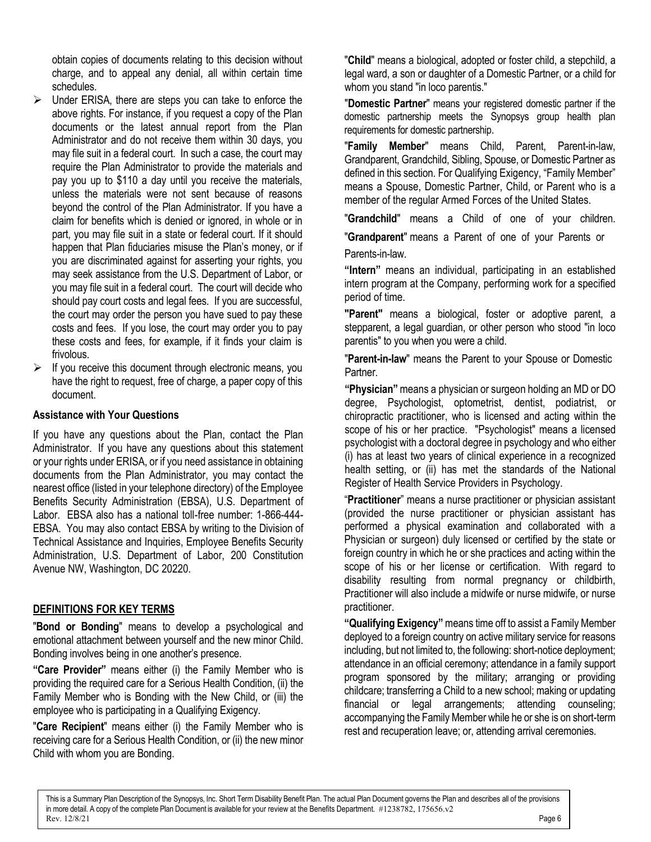obtain copies of documents relating to this decision without charge, and to appeal any denial, all within certain time schedules.

- $\triangleright$  Under ERISA, there are steps you can take to enforce the above rights. For instance, if you request a copy of the Plan documents or the latest annual report from the Plan Administrator and do not receive them within 30 days, you may file suit in a federal court. In such a case, the court may require the Plan Administrator to provide the materials and pay you up to \$110 a day until you receive the materials, unless the materials were not sent because of reasons beyond the control of the Plan Administrator. If you have a claim for benefits which is denied or ignored, in whole or in part, you may file suit in a state or federal court. If it should happen that Plan fiduciaries misuse the Plan's money, or if you are discriminated against for asserting your rights, you may seek assistance from the U.S. Department of Labor, or you may file suit in a federal court. The court will decide who should pay court costs and legal fees. If you are successful, the court may order the person you have sued to pay these costs and fees. If you lose, the court may order you to pay these costs and fees, for example, if it finds your claim is frivolous.
- $\triangleright$  If you receive this document through electronic means, you have the right to request, free of charge, a paper copy of this document.

#### **Assistance with Your Questions**

If you have any questions about the Plan, contact the Plan Administrator. If you have any questions about this statement or your rights under ERISA, or if you need assistance in obtaining documents from the Plan Administrator, you may contact the nearest office (listed in your telephone directory) of the Employee Benefits Security Administration (EBSA), U.S. Department of Labor. EBSA also has a national toll-free number: 1-866-444- EBSA. You may also contact EBSA by writing to the Division of Technical Assistance and Inquiries, Employee Benefits Security Administration, U.S. Department of Labor, 200 Constitution Avenue NW, Washington, DC 20220.

#### **DEFINITIONS FOR KEY TERMS**

"**Bond or Bonding**" means to develop a psychological and emotional attachment between yourself and the new minor Child. Bonding involves being in one another's presence.

**"Care Provider"** means either (i) the Family Member who is providing the required care for a Serious Health Condition, (ii) the Family Member who is Bonding with the New Child, or (iii) the employee who is participating in a Qualifying Exigency.

"**Care Recipient**" means either (i) the Family Member who is receiving care for a Serious Health Condition, or (ii) the new minor Child with whom you are Bonding.

"**Child**" means a biological, adopted or foster child, a stepchild, a legal ward, a son or daughter of a Domestic Partner, or a child for whom you stand "in loco parentis."

"**Domestic Partner**" means your registered domestic partner if the domestic partnership meets the Synopsys group health plan requirements for domestic partnership.

"**Family Member**" means Child, Parent, Parent-in-law, Grandparent, Grandchild, Sibling, Spouse, or Domestic Partner as defined in this section. For Qualifying Exigency, "Family Member" means a Spouse, Domestic Partner, Child, or Parent who is a member of the regular Armed Forces of the United States.

"**Grandchild**" means a Child of one of your children.

"**Grandparent**" means a Parent of one of your Parents or Parents-in-law.

**"Intern"** means an individual, participating in an established intern program at the Company, performing work for a specified period of time.

**"Parent"** means a biological, foster or adoptive parent, a stepparent, a legal guardian, or other person who stood "in loco parentis" to you when you were a child.

"**Parent-in-law**" means the Parent to your Spouse or Domestic Partner.

**"Physician"**means a physician or surgeon holding an MD or DO degree, Psychologist, optometrist, dentist, podiatrist, or chiropractic practitioner, who is licensed and acting within the scope of his or her practice. "Psychologist" means a licensed psychologist with a doctoral degree in psychology and who either (i) has at least two years of clinical experience in a recognized health setting, or (ii) has met the standards of the National Register of Health Service Providers in Psychology.

"**Practitioner**" means a nurse practitioner or physician assistant (provided the nurse practitioner or physician assistant has performed a physical examination and collaborated with a Physician or surgeon) duly licensed or certified by the state or foreign country in which he or she practices and acting within the scope of his or her license or certification. With regard to disability resulting from normal pregnancy or childbirth, Practitioner will also include a midwife or nurse midwife, or nurse practitioner.

**"Qualifying Exigency"** means time off to assist a Family Member deployed to a foreign country on active military service for reasons including, but not limited to, the following: short-notice deployment; attendance in an official ceremony; attendance in a family support program sponsored by the military; arranging or providing childcare; transferring a Child to a new school; making or updating financial or legal arrangements; attending counseling; accompanying the Family Member while he or she is on short-term rest and recuperation leave; or, attending arrival ceremonies.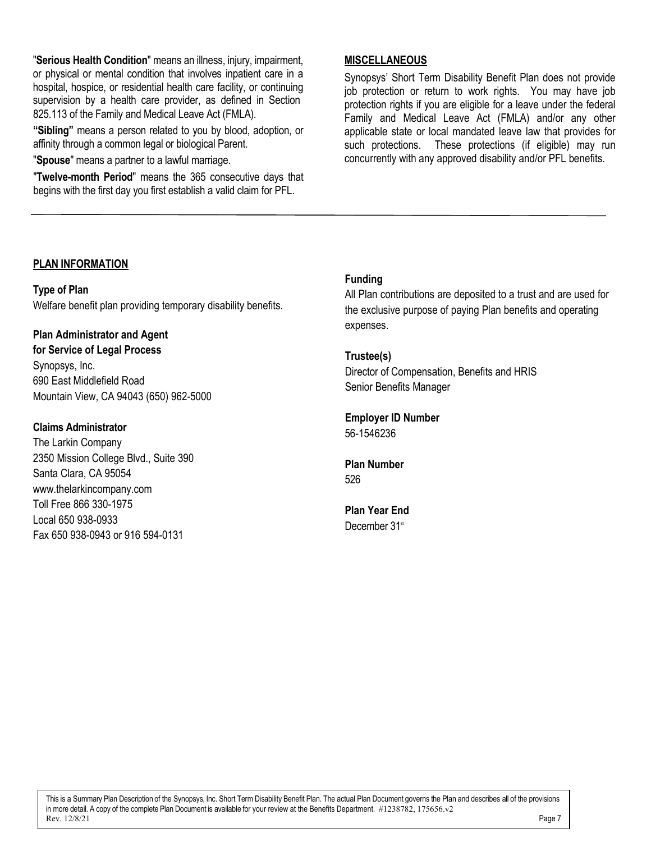"**Serious Health Condition**" means an illness, injury, impairment, or physical or mental condition that involves inpatient care in a hospital, hospice, or residential health care facility, or continuing supervision by a health care provider, as defined in Section 825.113 of the Family and Medical Leave Act (FMLA).

**"Sibling"** means a person related to you by blood, adoption, or affinity through a common legal or biological Parent.

"**Spouse**" means a partner to a lawful marriage.

"**Twelve-month Period**" means the 365 consecutive days that begins with the first day you first establish a valid claim for PFL.

#### **MISCELLANEOUS**

Synopsys' Short Term Disability Benefit Plan does not provide job protection or return to work rights. You may have job protection rights if you are eligible for a leave under the federal Family and Medical Leave Act (FMLA) and/or any other applicable state or local mandated leave law that provides for such protections. These protections (if eligible) may run concurrently with any approved disability and/or PFL benefits.

#### **PLAN INFORMATION**

**Type of Plan** Welfare benefit plan providing temporary disability benefits.

**Plan Administrator and Agent for Service of Legal Process** Synopsys, Inc. 690 East Middlefield Road Mountain View, CA 94043 (650) 962-5000

#### **Claims Administrator**

The Larkin Company 2350 Mission College Blvd., Suite 390 Santa Clara, CA 95054 [www.thelarkincompany.com](http://www.thelarkincompany.com/) Toll Free 866 330-1975 Local 650 938-0933 Fax 650 938-0943 or 916 594-0131

## **Funding**

All Plan contributions are deposited to a trust and are used for the exclusive purpose of paying Plan benefits and operating expenses.

#### **Trustee(s)**

Director of Compensation, Benefits and HRIS Senior Benefits Manager

# **Employer ID Number**

56-1546236

#### **Plan Number** 526

**Plan Year End** December 31<sup>st</sup>